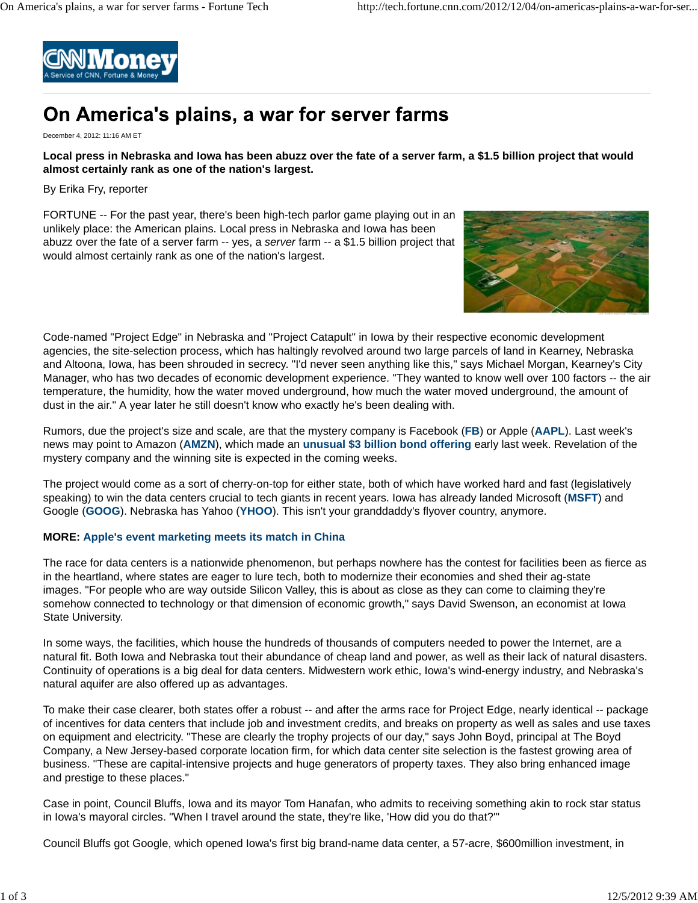

# On America's plains, a war for server farms

December 4, 2012: 11:16 AM ET

## **Local press in Nebraska and Iowa has been abuzz over the fate of a server farm, a \$1.5 billion project that would almost certainly rank as one of the nation's largest.**

By Erika Fry, reporter

FORTUNE -- For the past year, there's been high-tech parlor game playing out in an unlikely place: the American plains. Local press in Nebraska and Iowa has been abuzz over the fate of a server farm -- yes, a *server* farm -- a \$1.5 billion project that would almost certainly rank as one of the nation's largest.



Code-named "Project Edge" in Nebraska and "Project Catapult" in Iowa by their respective economic development agencies, the site-selection process, which has haltingly revolved around two large parcels of land in Kearney, Nebraska and Altoona, Iowa, has been shrouded in secrecy. "I'd never seen anything like this," says Michael Morgan, Kearney's City Manager, who has two decades of economic development experience. "They wanted to know well over 100 factors -- the air temperature, the humidity, how the water moved underground, how much the water moved underground, the amount of dust in the air." A year later he still doesn't know who exactly he's been dealing with.

Rumors, due the project's size and scale, are that the mystery company is Facebook (**FB**) or Apple (**AAPL**). Last week's news may point to Amazon (**AMZN**), which made an **unusual \$3 billion bond offering** early last week. Revelation of the mystery company and the winning site is expected in the coming weeks.

The project would come as a sort of cherry-on-top for either state, both of which have worked hard and fast (legislatively speaking) to win the data centers crucial to tech giants in recent years. Iowa has already landed Microsoft (**MSFT**) and Google (**GOOG**). Nebraska has Yahoo (**YHOO**). This isn't your granddaddy's flyover country, anymore.

## **MORE: Apple's event marketing meets its match in China**

The race for data centers is a nationwide phenomenon, but perhaps nowhere has the contest for facilities been as fierce as in the heartland, where states are eager to lure tech, both to modernize their economies and shed their ag-state images. "For people who are way outside Silicon Valley, this is about as close as they can come to claiming they're somehow connected to technology or that dimension of economic growth," says David Swenson, an economist at Iowa State University.

In some ways, the facilities, which house the hundreds of thousands of computers needed to power the Internet, are a natural fit. Both Iowa and Nebraska tout their abundance of cheap land and power, as well as their lack of natural disasters. Continuity of operations is a big deal for data centers. Midwestern work ethic, Iowa's wind-energy industry, and Nebraska's natural aquifer are also offered up as advantages.

To make their case clearer, both states offer a robust -- and after the arms race for Project Edge, nearly identical -- package of incentives for data centers that include job and investment credits, and breaks on property as well as sales and use taxes on equipment and electricity. "These are clearly the trophy projects of our day," says John Boyd, principal at The Boyd Company, a New Jersey-based corporate location firm, for which data center site selection is the fastest growing area of business. "These are capital-intensive projects and huge generators of property taxes. They also bring enhanced image and prestige to these places."

Case in point, Council Bluffs, Iowa and its mayor Tom Hanafan, who admits to receiving something akin to rock star status in Iowa's mayoral circles. "When I travel around the state, they're like, 'How did you do that?'"

Council Bluffs got Google, which opened Iowa's first big brand-name data center, a 57-acre, \$600million investment, in